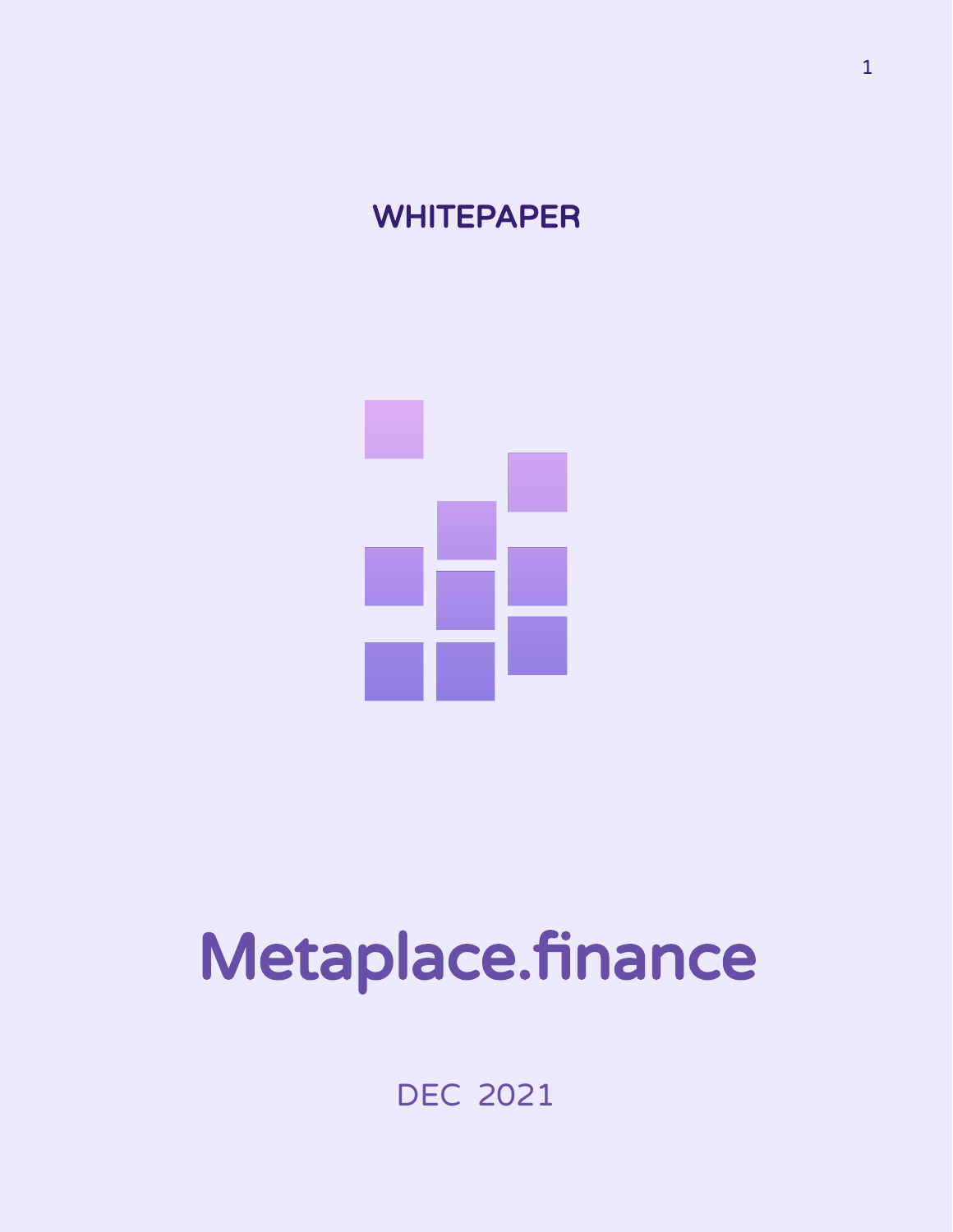## **WHITEPAPER**



# Metaplace.finance

DEC 2021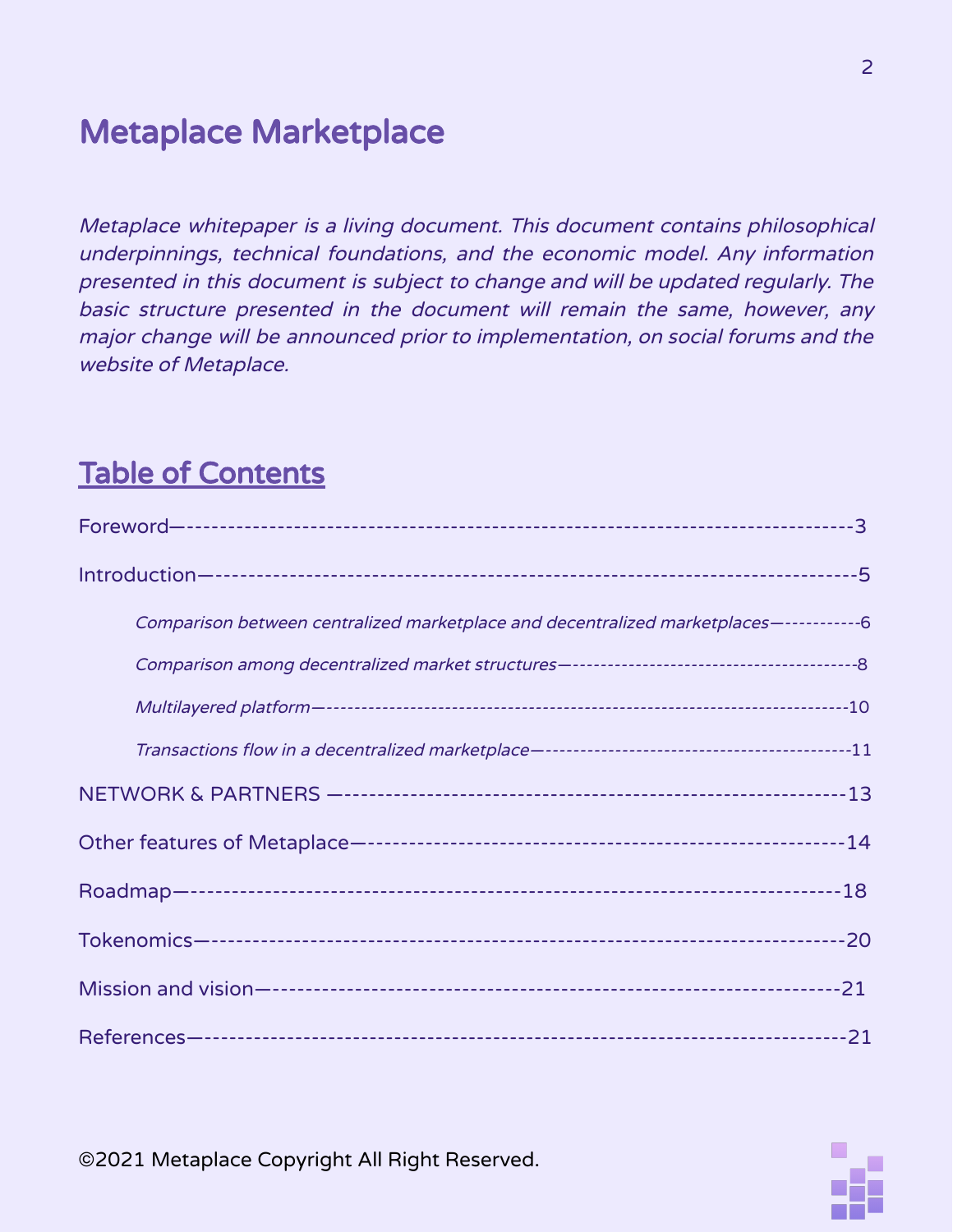## Metaplace Marketplace

Metaplace whitepaper is <sup>a</sup> living document. This document contains philosophical underpinnings, technical foundations, and the economic model. Any information presented in this document is subject to change and will be updated regularly. The basic structure presented in the document will remain the same, however, any major change will be announced prior to implementation, on social forums and the website of Metaplace.

### Table of Contents

| Comparison between centralized marketplace and decentralized marketplaces-------------6 |  |
|-----------------------------------------------------------------------------------------|--|
|                                                                                         |  |
|                                                                                         |  |
|                                                                                         |  |
|                                                                                         |  |
|                                                                                         |  |
|                                                                                         |  |
|                                                                                         |  |
|                                                                                         |  |
|                                                                                         |  |

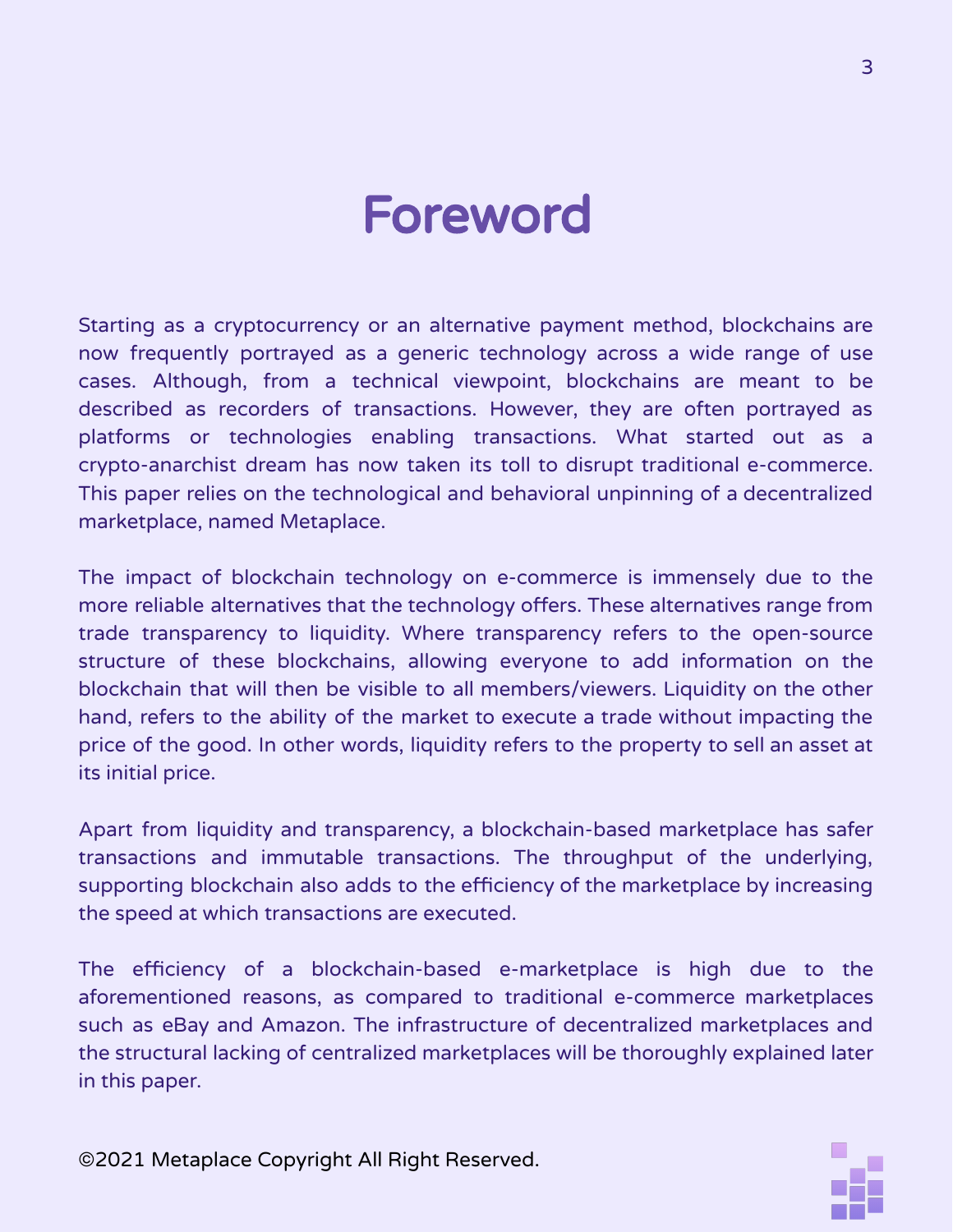## Foreword

Starting as a cryptocurrency or an alternative payment method, blockchains are now frequently portrayed as a generic technology across a wide range of use cases. Although, from a technical viewpoint, blockchains are meant to be described as recorders of transactions. However, they are often portrayed as platforms or technologies enabling transactions. What started out as a crypto-anarchist dream has now taken its toll to disrupt traditional e-commerce. This paper relies on the technological and behavioral unpinning of a decentralized marketplace, named Metaplace.

The impact of blockchain technology on e-commerce is immensely due to the more reliable alternatives that the technology offers. These alternatives range from trade transparency to liquidity. Where transparency refers to the open-source structure of these blockchains, allowing everyone to add information on the blockchain that will then be visible to all members/viewers. Liquidity on the other hand, refers to the ability of the market to execute a trade without impacting the price of the good. In other words, liquidity refers to the property to sell an asset at its initial price.

Apart from liquidity and transparency, a blockchain-based marketplace has safer transactions and immutable transactions. The throughput of the underlying, supporting blockchain also adds to the efficiency of the marketplace by increasing the speed at which transactions are executed.

The efficiency of a blockchain-based e-marketplace is high due to the aforementioned reasons, as compared to traditional e-commerce marketplaces such as eBay and Amazon. The infrastructure of decentralized marketplaces and the structural lacking of centralized marketplaces will be thoroughly explained later in this paper.

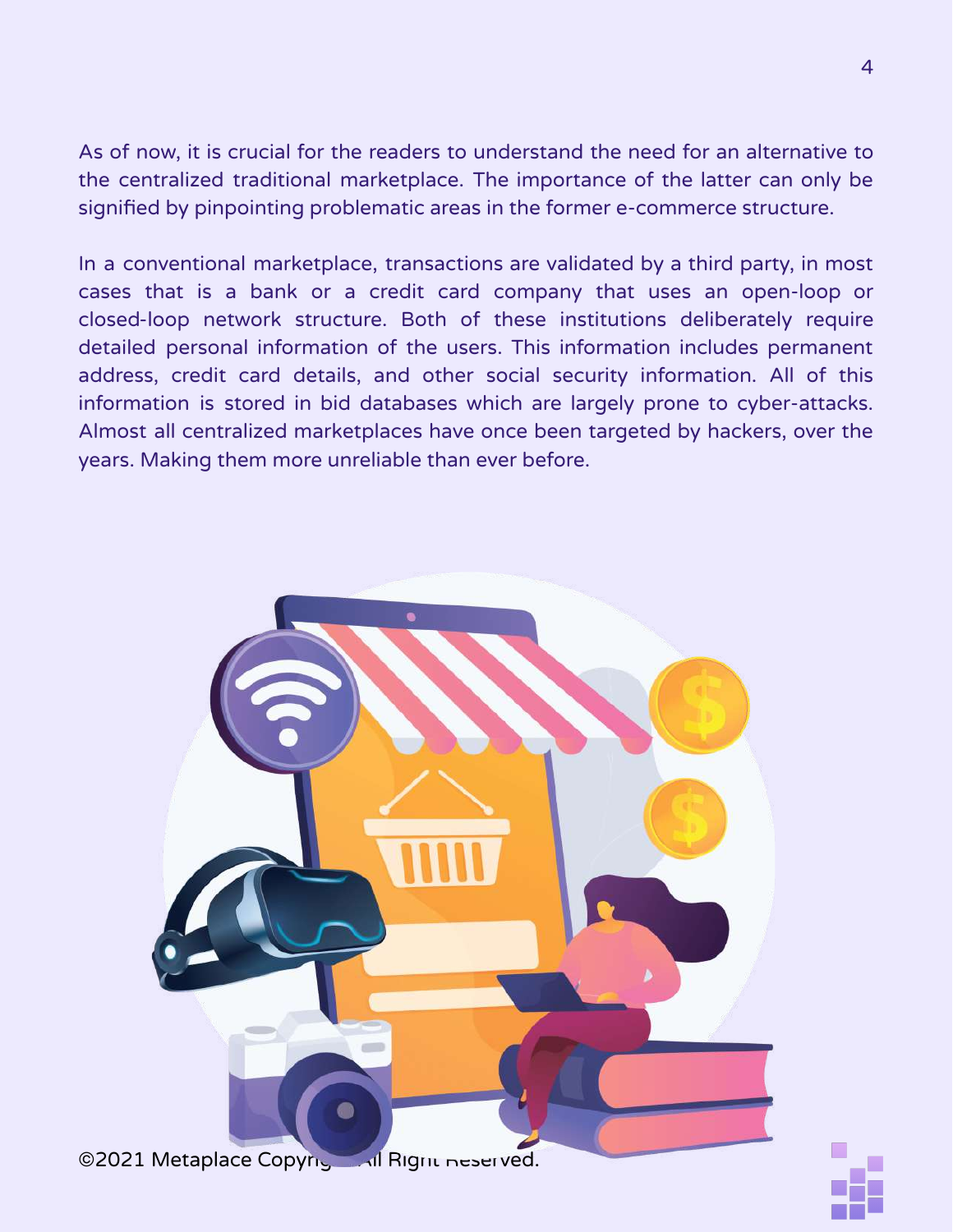As of now, it is crucial for the readers to understand the need for an alternative to the centralized traditional marketplace. The importance of the latter can only be signified by pinpointing problematic areas in the former e-commerce structure.

In a conventional marketplace, transactions are validated by a third party, in most cases that is a bank or a credit card company that uses an open-loop or closed-loop network structure. Both of these institutions deliberately require detailed personal information of the users. This information includes permanent address, credit card details, and other social security information. All of this information is stored in bid databases which are largely prone to cyber-attacks. Almost all centralized marketplaces have once been targeted by hackers, over the years. Making them more unreliable than ever before.



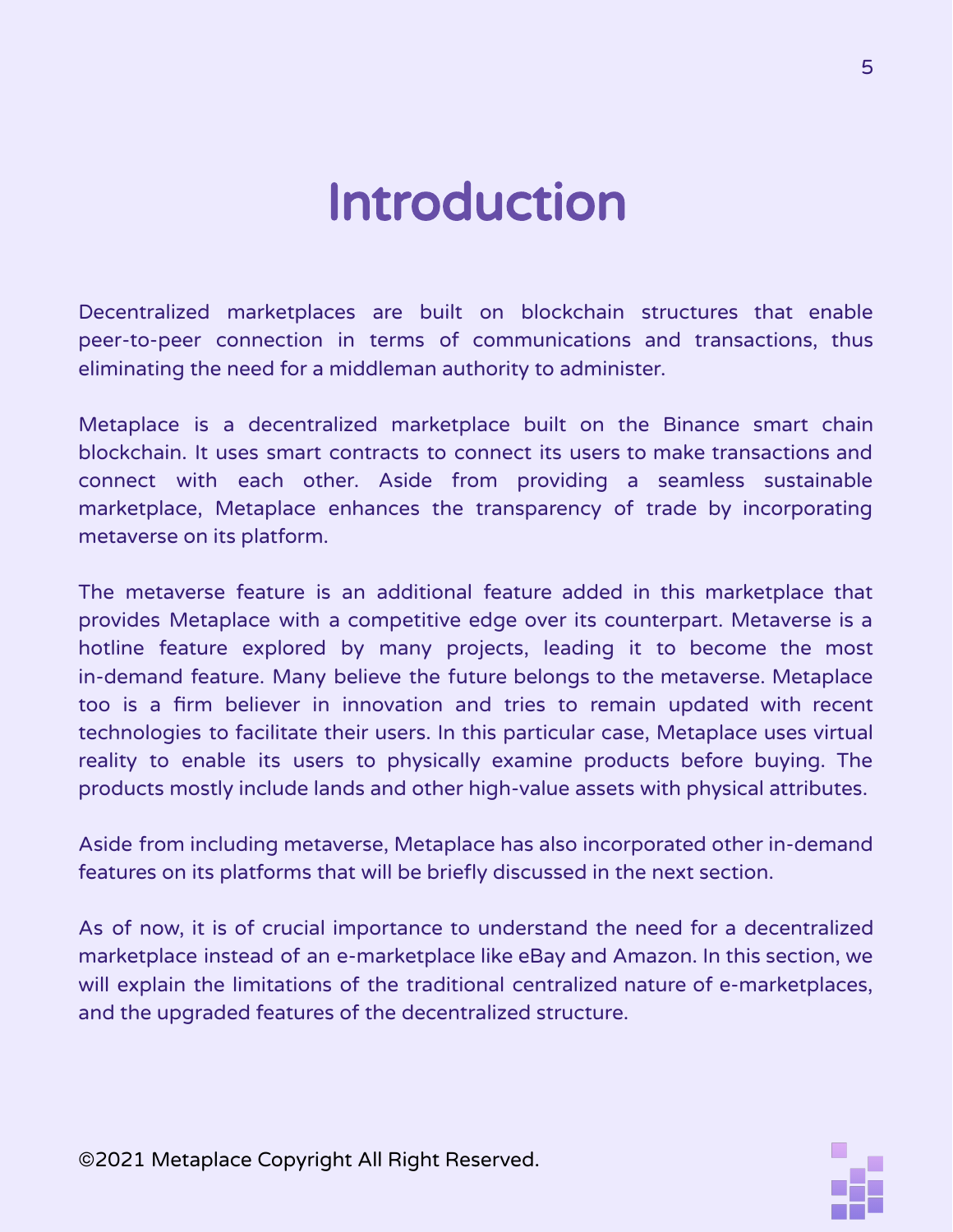## Introduction

Decentralized marketplaces are built on blockchain structures that enable peer-to-peer connection in terms of communications and transactions, thus eliminating the need for a middleman authority to administer.

Metaplace is a decentralized marketplace built on the Binance smart chain blockchain. It uses smart contracts to connect its users to make transactions and connect with each other. Aside from providing a seamless sustainable marketplace, Metaplace enhances the transparency of trade by incorporating metaverse on its platform.

The metaverse feature is an additional feature added in this marketplace that provides Metaplace with a competitive edge over its counterpart. Metaverse is a hotline feature explored by many projects, leading it to become the most in-demand feature. Many believe the future belongs to the metaverse. Metaplace too is a firm believer in innovation and tries to remain updated with recent technologies to facilitate their users. In this particular case, Metaplace uses virtual reality to enable its users to physically examine products before buying. The products mostly include lands and other high-value assets with physical attributes.

Aside from including metaverse, Metaplace has also incorporated other in-demand features on its platforms that will be briefly discussed in the next section.

As of now, it is of crucial importance to understand the need for a decentralized marketplace instead of an e-marketplace like eBay and Amazon. In this section, we will explain the limitations of the traditional centralized nature of e-marketplaces, and the upgraded features of the decentralized structure.

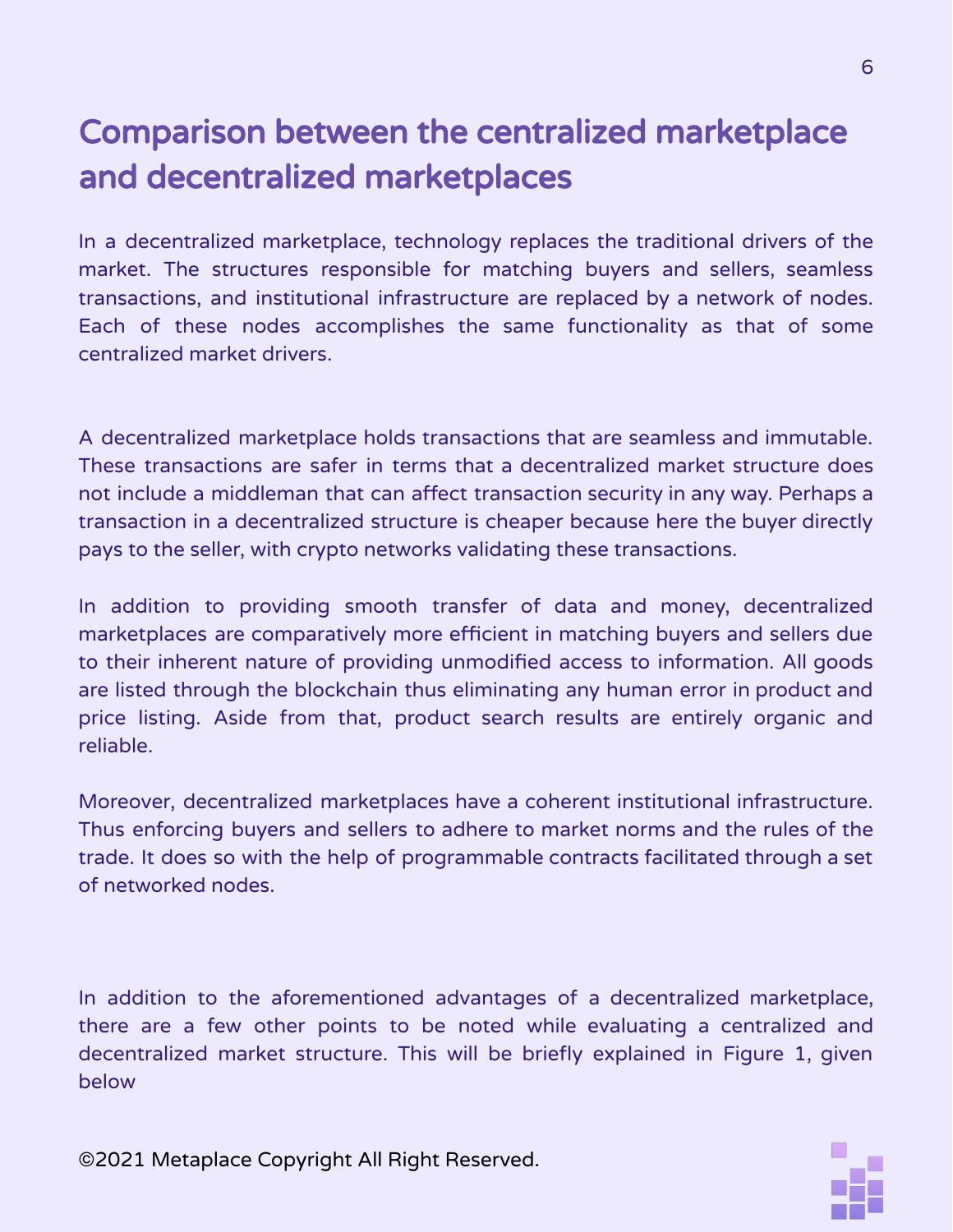## Comparison between the centralized marketplace and decentralized marketplaces

In a decentralized marketplace, technology replaces the traditional drivers of the market. The structures responsible for matching buyers and sellers, seamless transactions, and institutional infrastructure are replaced by a network of nodes. Each of these nodes accomplishes the same functionality as that of some centralized market drivers.

A decentralized marketplace holds transactions that are seamless and immutable. These transactions are safer in terms that a decentralized market structure does not include a middleman that can affect transaction security in any way. Perhaps a transaction in a decentralized structure is cheaper because here the buyer directly pays to the seller, with crypto networks validating these transactions.

In addition to providing smooth transfer of data and money, decentralized marketplaces are comparatively more efficient in matching buyers and sellers due to their inherent nature of providing unmodified access to information. All goods are listed through the blockchain thus eliminating any human error in product and price listing. Aside from that, product search results are entirely organic and reliable.

Moreover, decentralized marketplaces have a coherent institutional infrastructure. Thus enforcing buyers and sellers to adhere to market norms and the rules of the trade. It does so with the help of programmable contracts facilitated through a set of networked nodes.

In addition to the aforementioned advantages of a decentralized marketplace, there are a few other points to be noted while evaluating a centralized and decentralized market structure. This will be briefly explained in Figure 1, given below

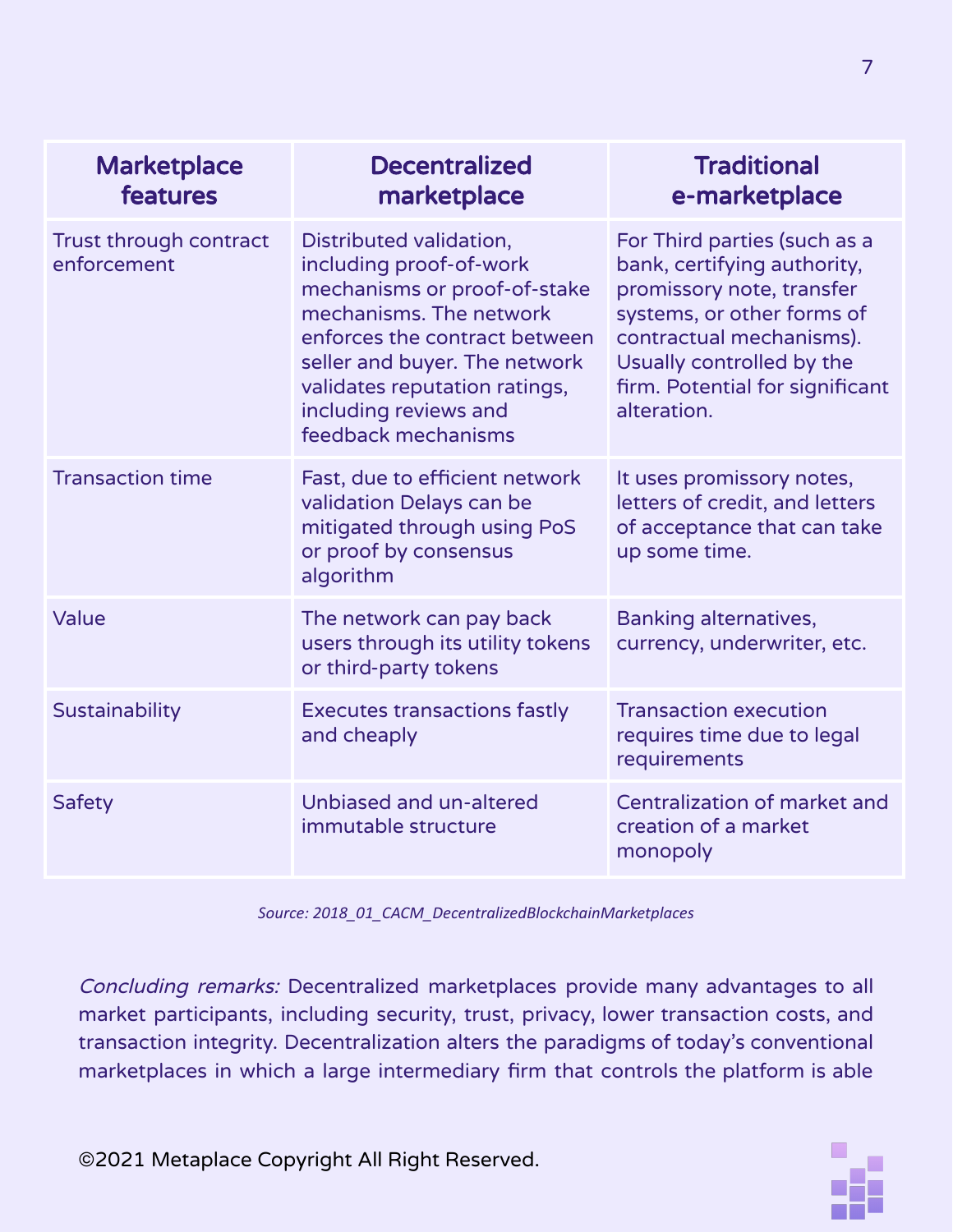| <b>Marketplace</b><br>features        | <b>Decentralized</b><br>marketplace                                                                                                                                                                                                                              | <b>Traditional</b><br>e-marketplace                                                                                                                                                                                               |
|---------------------------------------|------------------------------------------------------------------------------------------------------------------------------------------------------------------------------------------------------------------------------------------------------------------|-----------------------------------------------------------------------------------------------------------------------------------------------------------------------------------------------------------------------------------|
| Trust through contract<br>enforcement | Distributed validation,<br>including proof-of-work<br>mechanisms or proof-of-stake<br>mechanisms. The network<br>enforces the contract between<br>seller and buyer. The network<br>validates reputation ratings,<br>including reviews and<br>feedback mechanisms | For Third parties (such as a<br>bank, certifying authority,<br>promissory note, transfer<br>systems, or other forms of<br>contractual mechanisms).<br>Usually controlled by the<br>firm. Potential for significant<br>alteration. |
| <b>Transaction time</b>               | Fast, due to efficient network<br>validation Delays can be<br>mitigated through using PoS<br>or proof by consensus<br>algorithm                                                                                                                                  | It uses promissory notes,<br>letters of credit, and letters<br>of acceptance that can take<br>up some time.                                                                                                                       |
| Value                                 | The network can pay back<br>users through its utility tokens<br>or third-party tokens                                                                                                                                                                            | <b>Banking alternatives,</b><br>currency, underwriter, etc.                                                                                                                                                                       |
| Sustainability                        | <b>Executes transactions fastly</b><br>and cheaply                                                                                                                                                                                                               | <b>Transaction execution</b><br>requires time due to legal<br>requirements                                                                                                                                                        |
| Safety                                | Unbiased and un-altered<br>immutable structure                                                                                                                                                                                                                   | Centralization of market and<br>creation of a market<br>monopoly                                                                                                                                                                  |

*Source: 2018\_01\_CACM\_DecentralizedBlockchainMarketplaces*

Concluding remarks: Decentralized marketplaces provide many advantages to all market participants, including security, trust, privacy, lower transaction costs, and transaction integrity. Decentralization alters the paradigms of today's conventional marketplaces in which a large intermediary firm that controls the platform is able

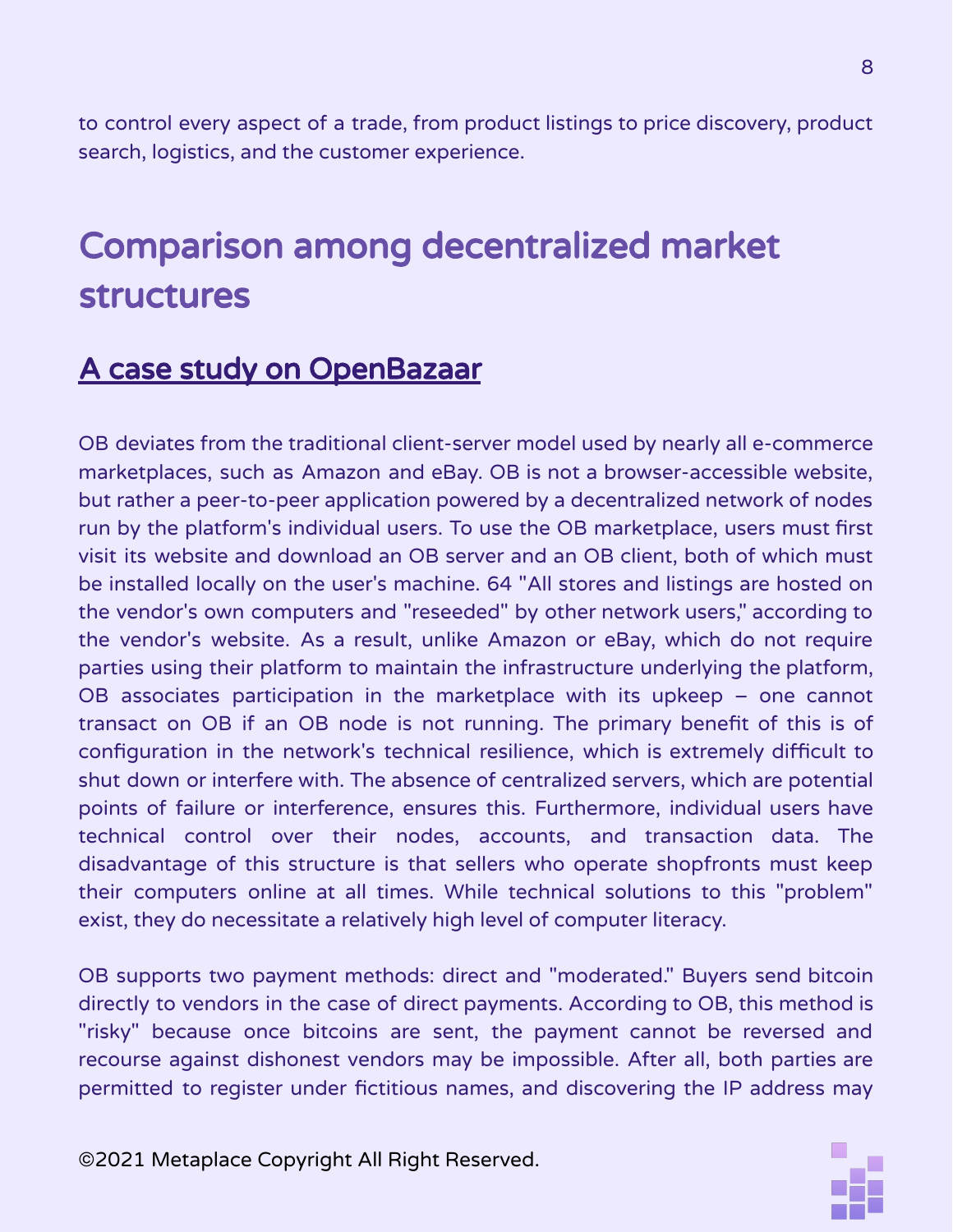to control every aspect of a trade, from product listings to price discovery, product search, logistics, and the customer experience.

## Comparison among decentralized market structures

#### A case study on OpenBazaar

OB deviates from the traditional client-server model used by nearly all e-commerce marketplaces, such as Amazon and eBay. OB is not a browser-accessible website, but rather a peer-to-peer application powered by a decentralized network of nodes run by the platform's individual users. To use the OB marketplace, users must first visit its website and download an OB server and an OB client, both of which must be installed locally on the user's machine. 64 "All stores and listings are hosted on the vendor's own computers and "reseeded" by other network users," according to the vendor's website. As a result, unlike Amazon or eBay, which do not require parties using their platform to maintain the infrastructure underlying the platform, OB associates participation in the marketplace with its upkeep – one cannot transact on OB if an OB node is not running. The primary benefit of this is of configuration in the network's technical resilience, which is extremely difficult to shut down or interfere with. The absence of centralized servers, which are potential points of failure or interference, ensures this. Furthermore, individual users have technical control over their nodes, accounts, and transaction data. The disadvantage of this structure is that sellers who operate shopfronts must keep their computers online at all times. While technical solutions to this "problem" exist, they do necessitate a relatively high level of computer literacy.

OB supports two payment methods: direct and "moderated." Buyers send bitcoin directly to vendors in the case of direct payments. According to OB, this method is "risky" because once bitcoins are sent, the payment cannot be reversed and recourse against dishonest vendors may be impossible. After all, both parties are permitted to register under fictitious names, and discovering the IP address may

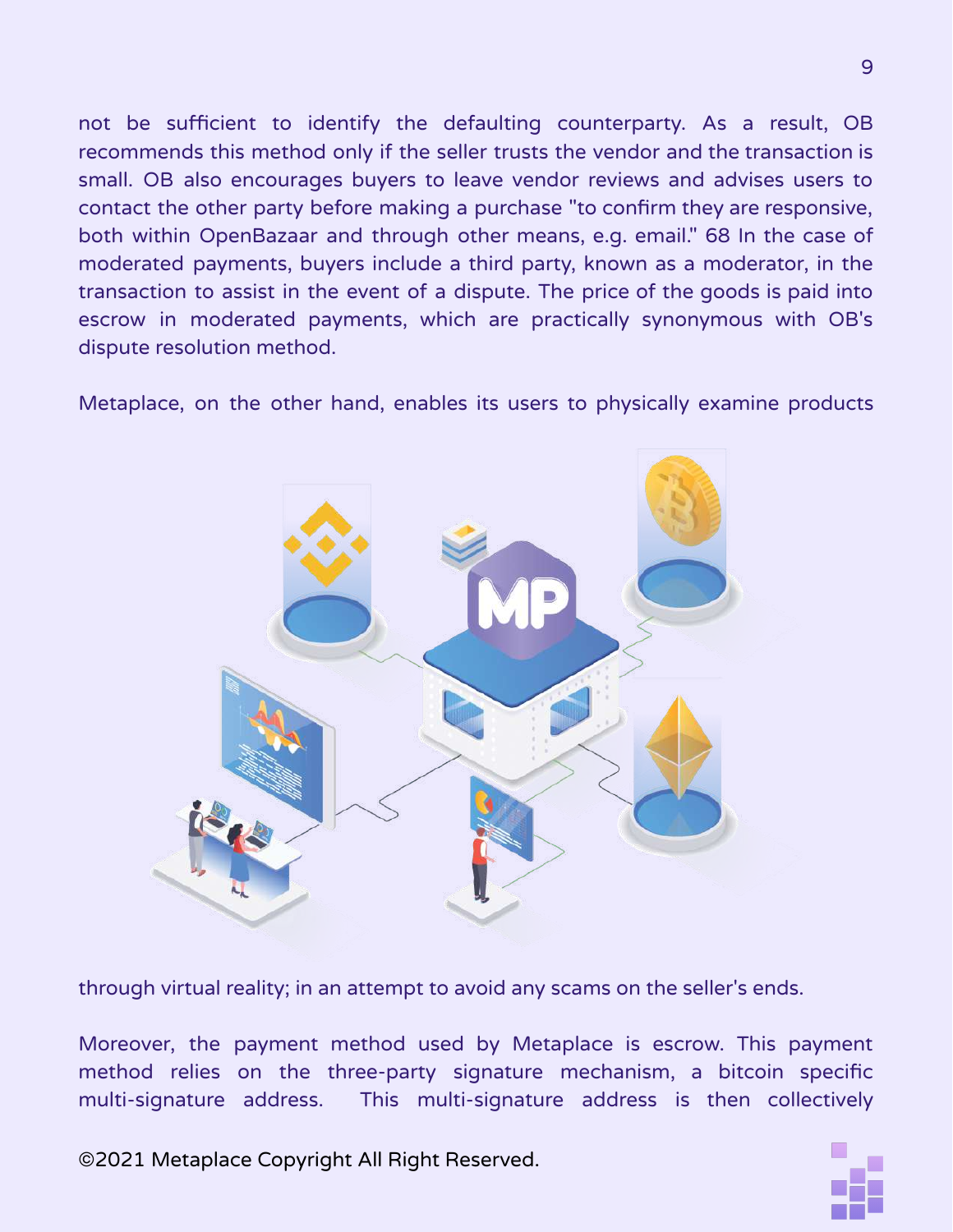not be sufficient to identify the defaulting counterparty. As a result, OB recommends this method only if the seller trusts the vendor and the transaction is small. OB also encourages buyers to leave vendor reviews and advises users to contact the other party before making a purchase "to confirm they are responsive, both within OpenBazaar and through other means, e.g. email." 68 In the case of moderated payments, buyers include a third party, known as a moderator, in the transaction to assist in the event of a dispute. The price of the goods is paid into escrow in moderated payments, which are practically synonymous with OB's dispute resolution method.

Metaplace, on the other hand, enables its users to physically examine products



through virtual reality; in an attempt to avoid any scams on the seller's ends.

Moreover, the payment method used by Metaplace is escrow. This payment method relies on the three-party signature mechanism, a bitcoin specific multi-signature address. This multi-signature address is then collectively

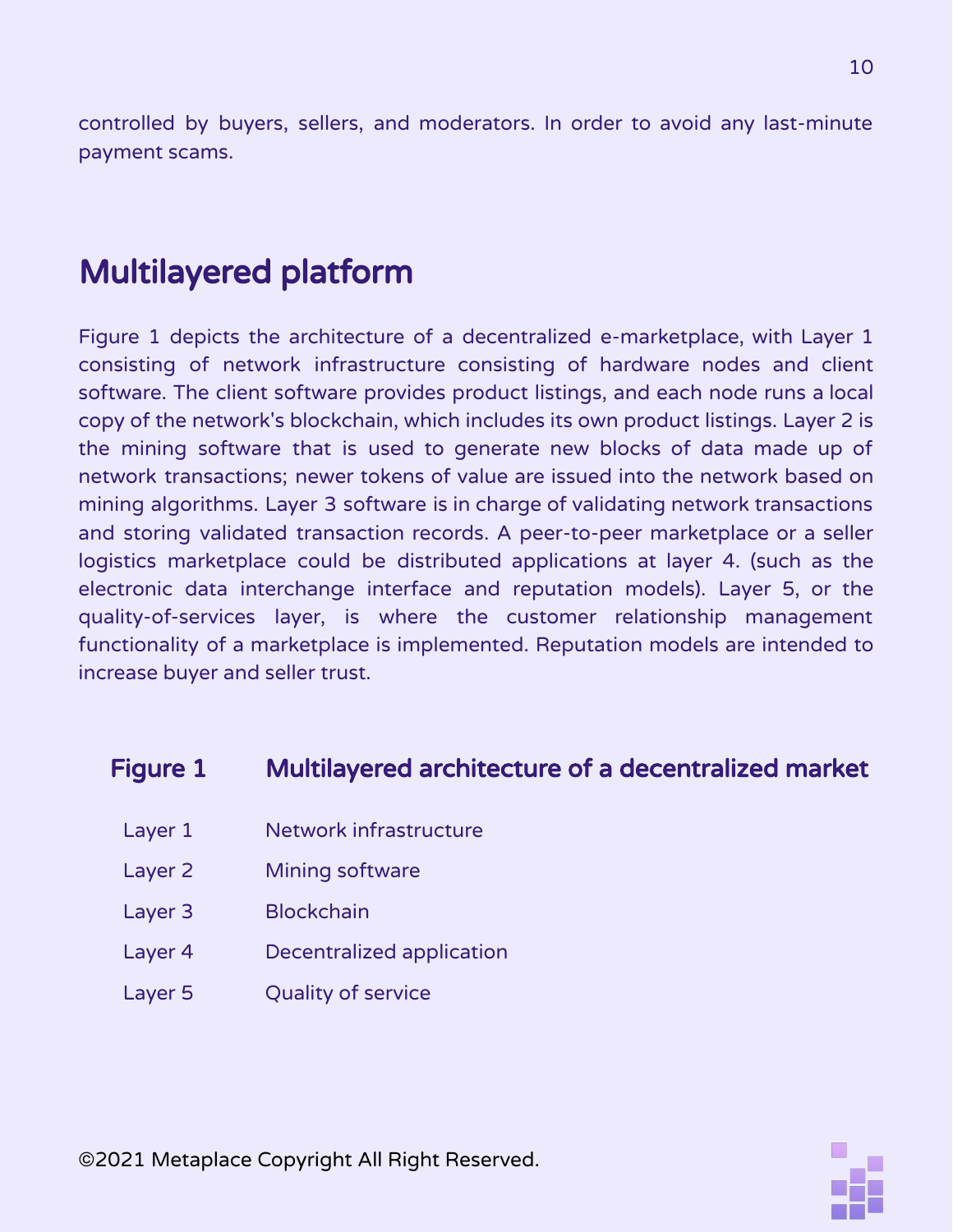controlled by buyers, sellers, and moderators. In order to avoid any last-minute payment scams.

## Multilayered platform

Figure 1 depicts the architecture of a decentralized e-marketplace, with Layer 1 consisting of network infrastructure consisting of hardware nodes and client software. The client software provides product listings, and each node runs a local copy of the network's blockchain, which includes its own product listings. Layer 2 is the mining software that is used to generate new blocks of data made up of network transactions; newer tokens of value are issued into the network based on mining algorithms. Layer 3 software is in charge of validating network transactions and storing validated transaction records. A peer-to-peer marketplace or a seller logistics marketplace could be distributed applications at layer 4. (such as the electronic data interchange interface and reputation models). Layer 5, or the quality-of-services layer, is where the customer relationship management functionality of a marketplace is implemented. Reputation models are intended to increase buyer and seller trust.

#### Figure 1 Multilayered architecture of a decentralized market

- Layer 1 Network infrastructure
- Layer 2 Mining software
- Layer 3 Blockchain
- Layer 4 Decentralized application
- Layer 5 Quality of service

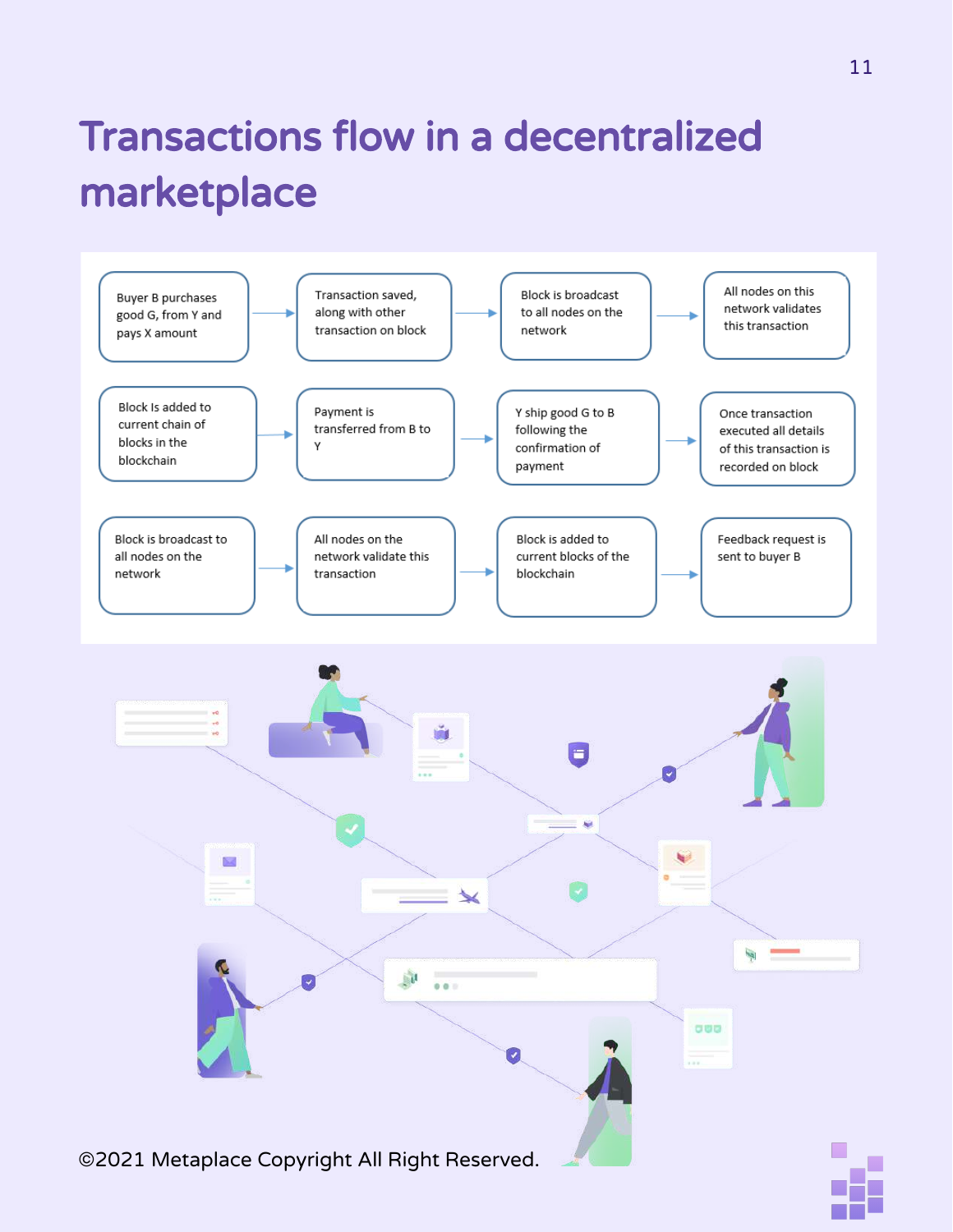## Transactions flow in a decentralized marketplace

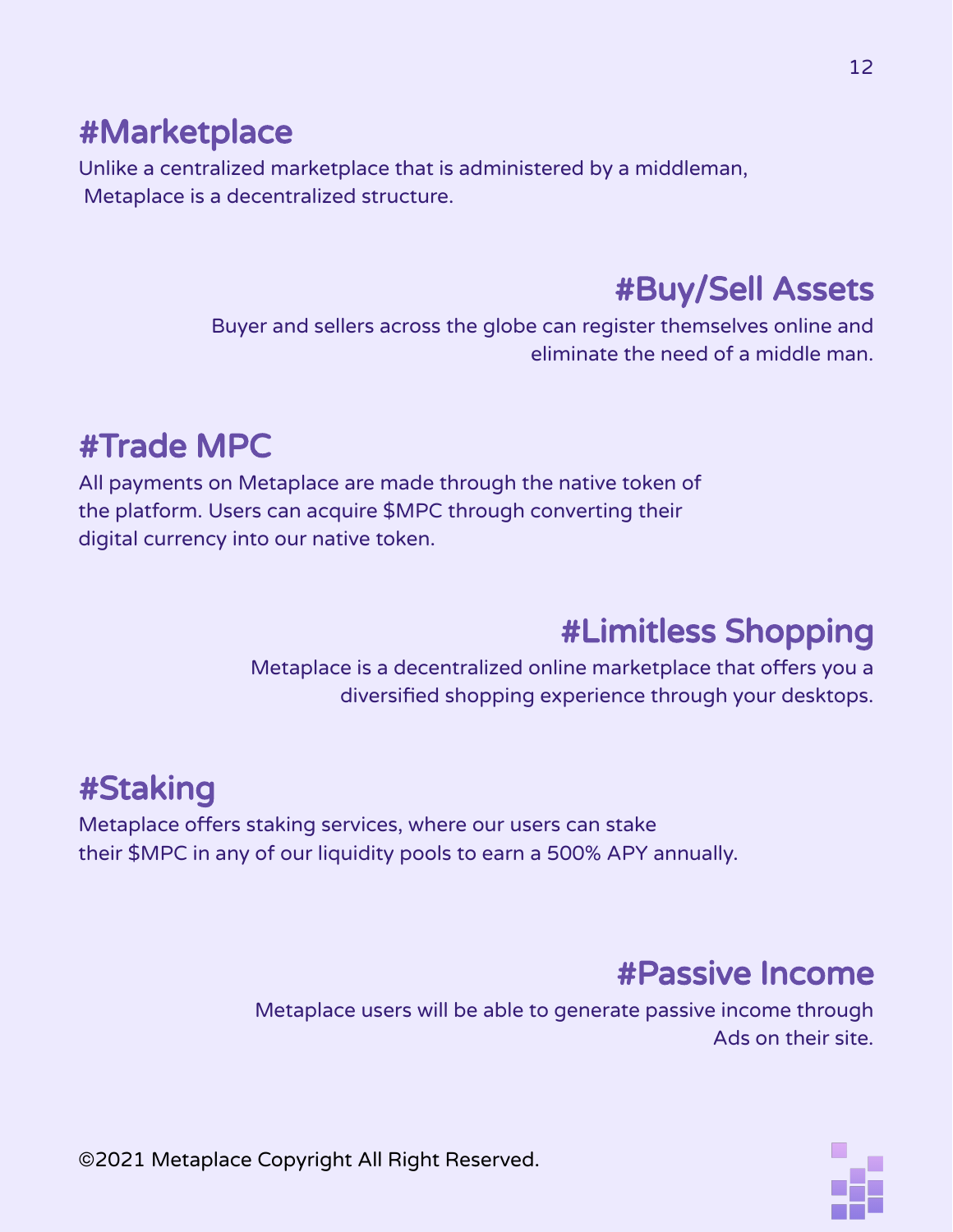## #Marketplace

Unlike a centralized marketplace that is administered by a middleman, Metaplace is a decentralized structure.

## #Buy/Sell Assets

Buyer and sellers across the globe can register themselves online and eliminate the need of a middle man.

## #Trade MPC

All payments on Metaplace are made through the native token of the platform. Users can acquire \$MPC through converting their digital currency into our native token.

## #Limitless Shopping

Metaplace is a decentralized online marketplace that offers you a diversified shopping experience through your desktops.

## #Staking

Metaplace offers staking services, where our users can stake their \$MPC in any of our liquidity pools to earn a 500% APY annually.

### #Passive Income

Metaplace users will be able to generate passive income through Ads on their site.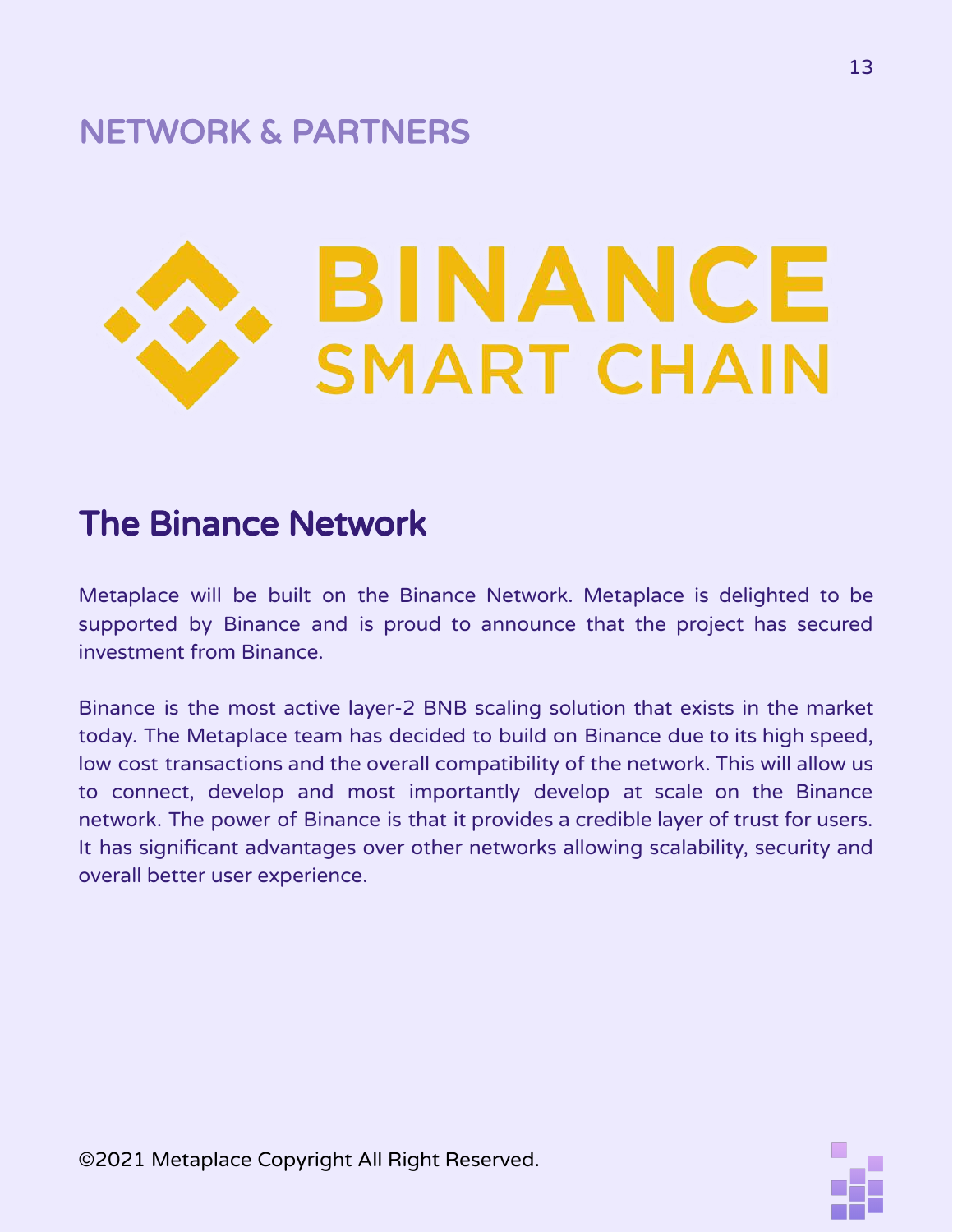## NETWORK & PARTNERS



## The Binance Network

Metaplace will be built on the Binance Network. Metaplace is delighted to be supported by Binance and is proud to announce that the project has secured investment from Binance.

Binance is the most active layer-2 BNB scaling solution that exists in the market today. The Metaplace team has decided to build on Binance due to its high speed, low cost transactions and the overall compatibility of the network. This will allow us to connect, develop and most importantly develop at scale on the Binance network. The power of Binance is that it provides a credible layer of trust for users. It has significant advantages over other networks allowing scalability, security and overall better user experience.

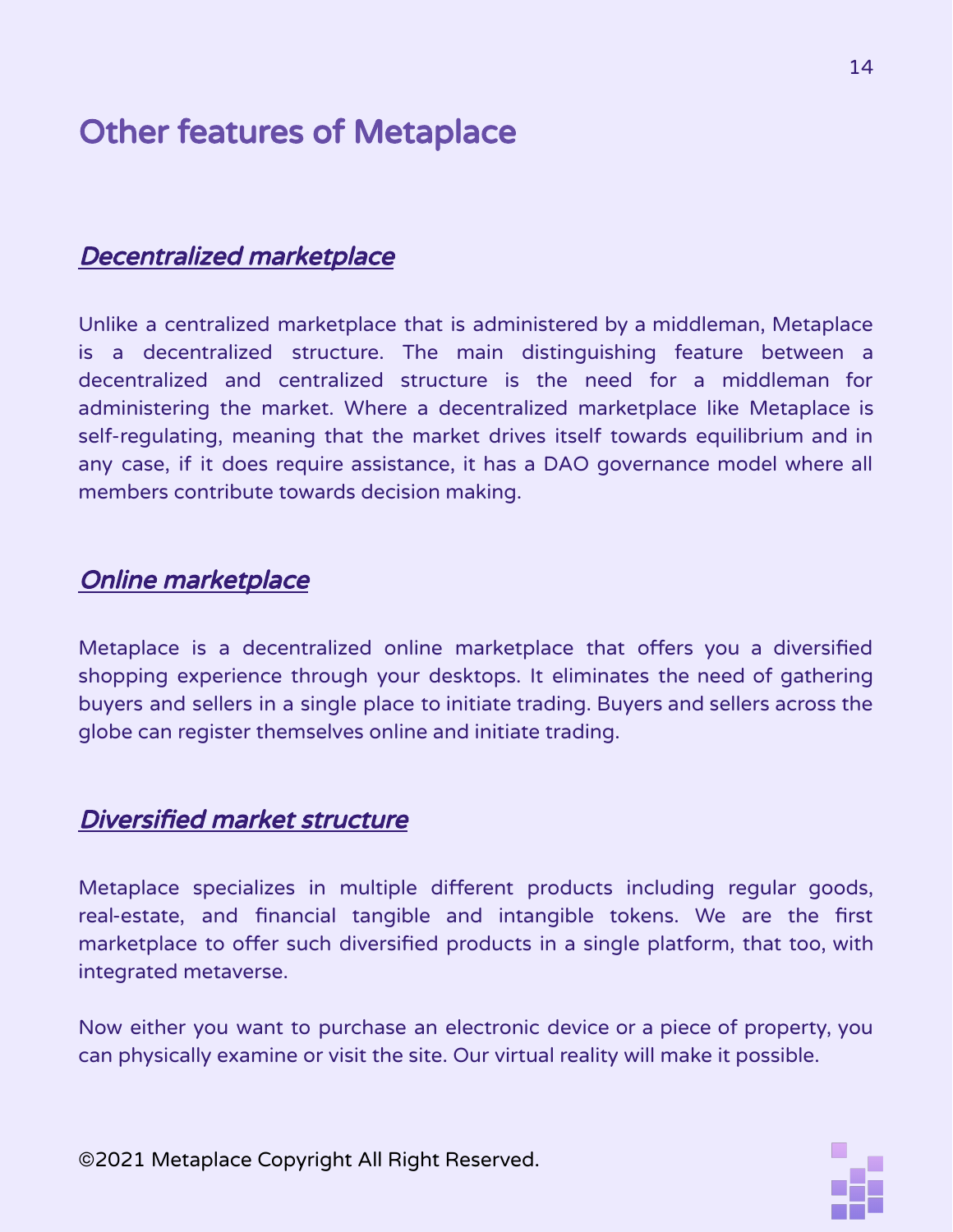## Other features of Metaplace

#### Decentralized marketplace

Unlike a centralized marketplace that is administered by a middleman, Metaplace is a decentralized structure. The main distinguishing feature between a decentralized and centralized structure is the need for a middleman for administering the market. Where a decentralized marketplace like Metaplace is self-regulating, meaning that the market drives itself towards equilibrium and in any case, if it does require assistance, it has a DAO governance model where all members contribute towards decision making.

#### Online marketplace

Metaplace is a decentralized online marketplace that offers you a diversified shopping experience through your desktops. It eliminates the need of gathering buyers and sellers in a single place to initiate trading. Buyers and sellers across the globe can register themselves online and initiate trading.

#### Diversified market structure

Metaplace specializes in multiple different products including regular goods, real-estate, and financial tangible and intangible tokens. We are the first marketplace to offer such diversified products in a single platform, that too, with integrated metaverse.

Now either you want to purchase an electronic device or a piece of property, you can physically examine or visit the site. Our virtual reality will make it possible.

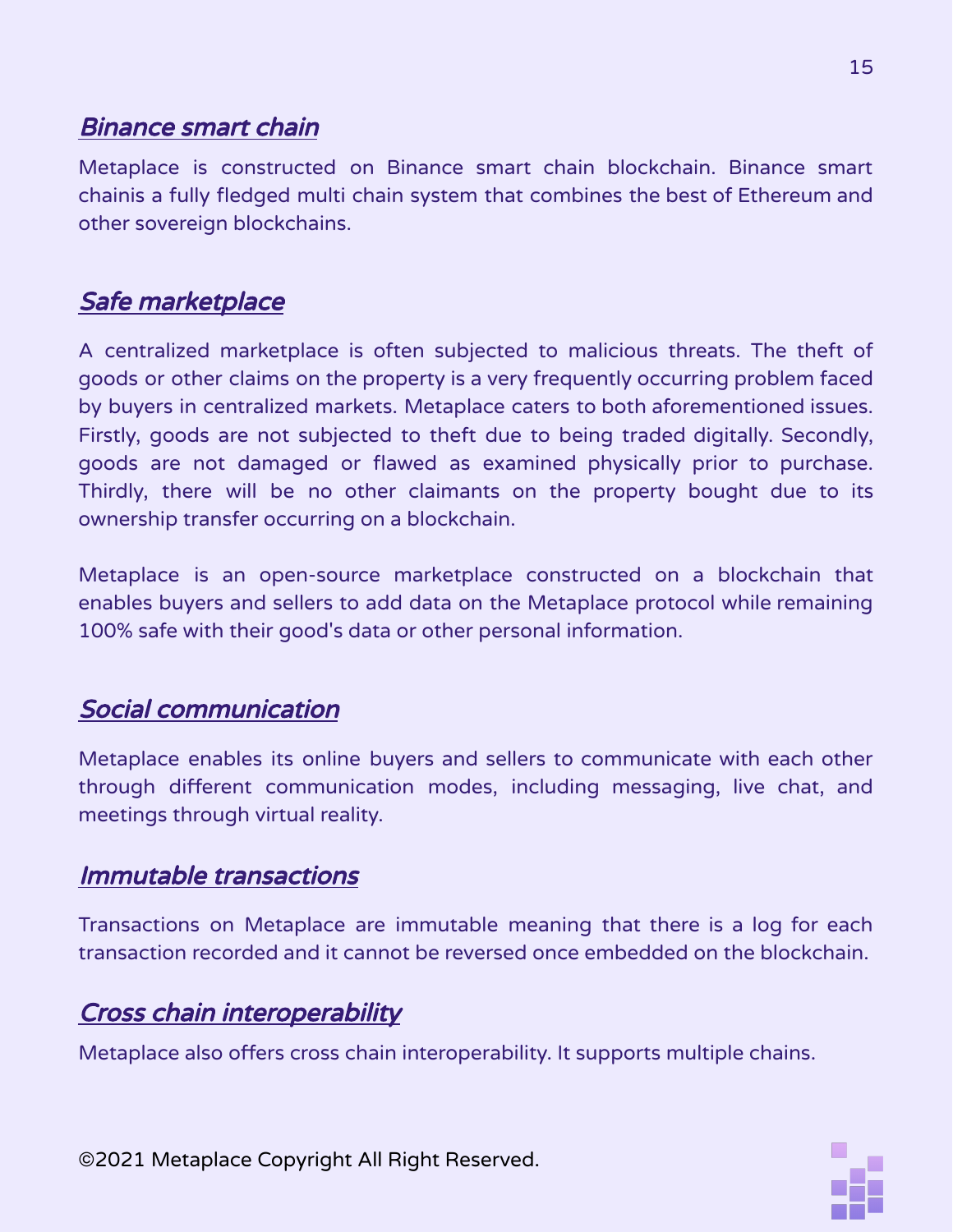#### Binance smart chain

Metaplace is constructed on Binance smart chain blockchain. Binance smart chainis a fully fledged multi chain system that combines the best of Ethereum and other sovereign blockchains.

#### Safe marketplace

A centralized marketplace is often subjected to malicious threats. The theft of goods or other claims on the property is a very frequently occurring problem faced by buyers in centralized markets. Metaplace caters to both aforementioned issues. Firstly, goods are not subjected to theft due to being traded digitally. Secondly, goods are not damaged or flawed as examined physically prior to purchase. Thirdly, there will be no other claimants on the property bought due to its ownership transfer occurring on a blockchain.

Metaplace is an open-source marketplace constructed on a blockchain that enables buyers and sellers to add data on the Metaplace protocol while remaining 100% safe with their good's data or other personal information.

#### Social communication

Metaplace enables its online buyers and sellers to communicate with each other through different communication modes, including messaging, live chat, and meetings through virtual reality.

#### Immutable transactions

Transactions on Metaplace are immutable meaning that there is a log for each transaction recorded and it cannot be reversed once embedded on the blockchain.

#### Cross chain interoperability

Metaplace also offers cross chain interoperability. It supports multiple chains.

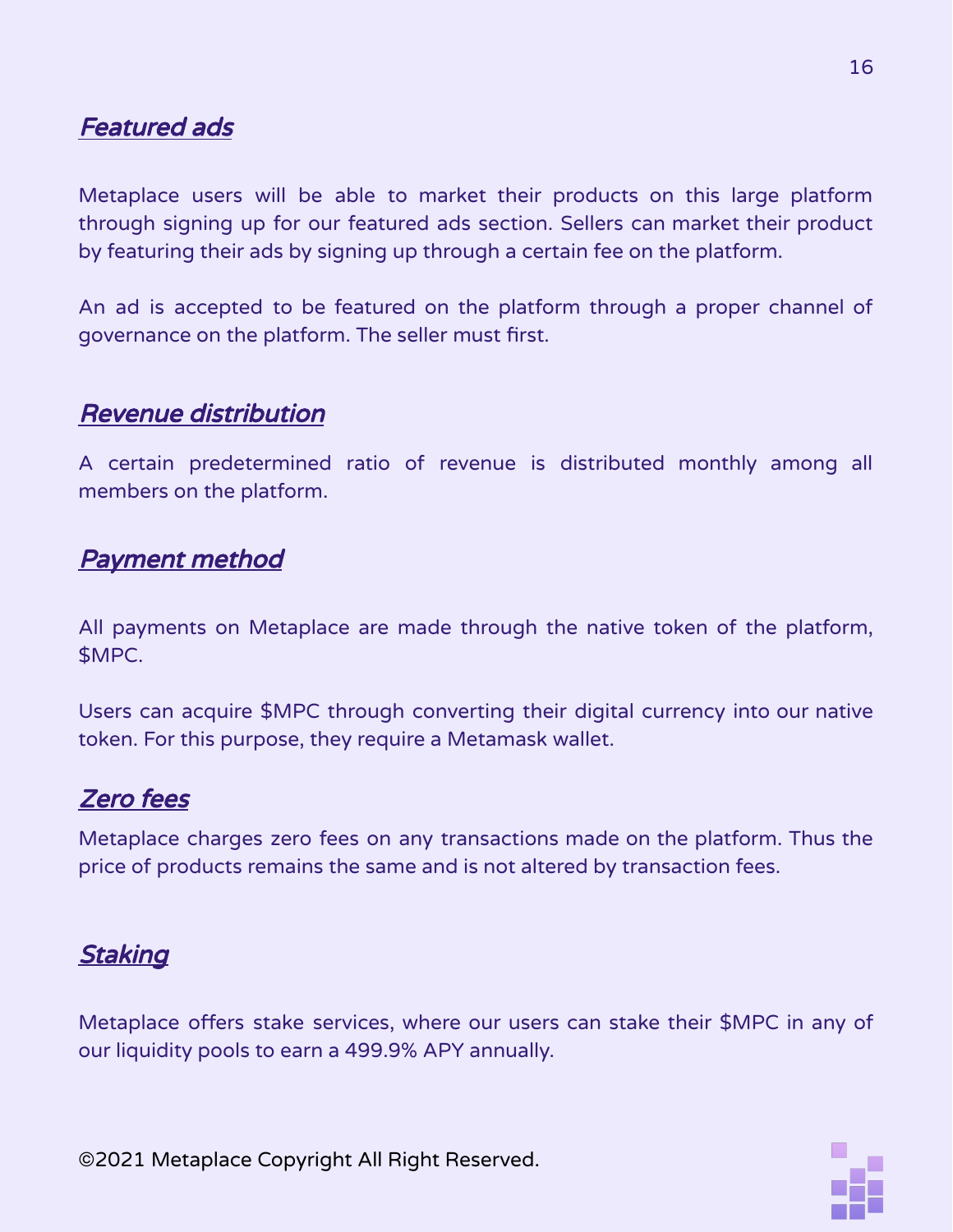#### Featured ads

Metaplace users will be able to market their products on this large platform through signing up for our featured ads section. Sellers can market their product by featuring their ads by signing up through a certain fee on the platform.

An ad is accepted to be featured on the platform through a proper channel of governance on the platform. The seller must first.

#### Revenue distribution

A certain predetermined ratio of revenue is distributed monthly among all members on the platform.

#### Payment method

All payments on Metaplace are made through the native token of the platform, \$MPC.

Users can acquire \$MPC through converting their digital currency into our native token. For this purpose, they require a Metamask wallet.

#### Zero fees

Metaplace charges zero fees on any transactions made on the platform. Thus the price of products remains the same and is not altered by transaction fees.

#### **Staking**

Metaplace offers stake services, where our users can stake their \$MPC in any of our liquidity pools to earn a 499.9% APY annually.

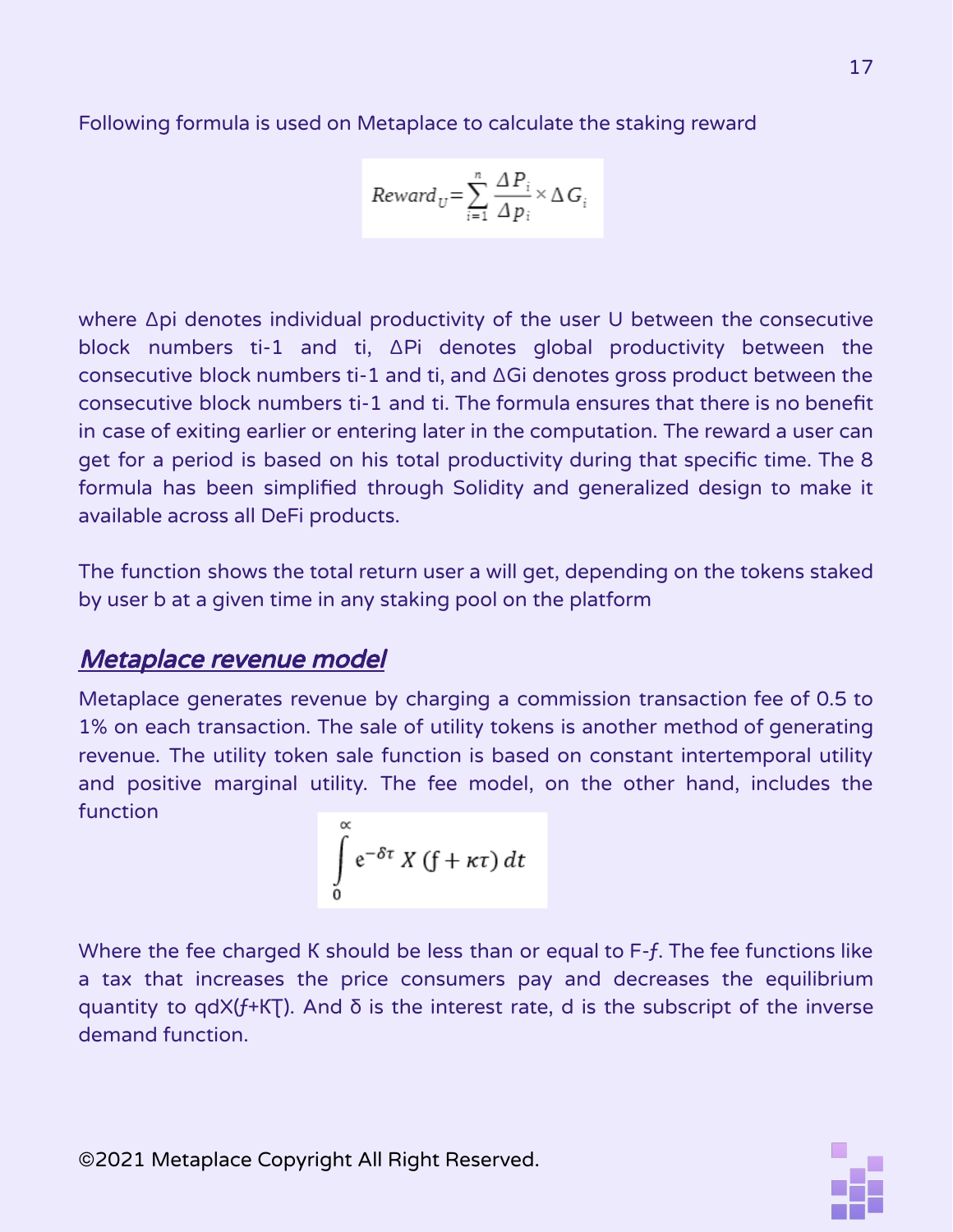Following formula is used on Metaplace to calculate the staking reward

$$
Reward_U = \sum_{i=1}^{n} \frac{\Delta P_i}{\Delta p_i} \times \Delta G_i
$$

where ∆pi denotes individual productivity of the user U between the consecutive block numbers ti-1 and ti, ∆Pi denotes global productivity between the consecutive block numbers ti-1 and ti, and ∆Gi denotes gross product between the consecutive block numbers ti-1 and ti. The formula ensures that there is no benefit in case of exiting earlier or entering later in the computation. The reward a user can get for a period is based on his total productivity during that specific time. The 8 formula has been simplified through Solidity and generalized design to make it available across all DeFi products.

The function shows the total return user a will get, depending on the tokens staked by user b at a given time in any staking pool on the platform

#### Metaplace revenue model

Metaplace generates revenue by charging a commission transaction fee of 0.5 to 1% on each transaction. The sale of utility tokens is another method of generating revenue. The utility token sale function is based on constant intertemporal utility and positive marginal utility. The fee model, on the other hand, includes the function

$$
\int\limits_{0}^{\alpha} e^{-\delta \tau} X(f + \kappa \tau) dt
$$

Where the fee charged K should be less than or equal to F-f. The fee functions like a tax that increases the price consumers pay and decreases the equilibrium quantity to qdX( $f$ +KT). And  $\delta$  is the interest rate, d is the subscript of the inverse demand function.

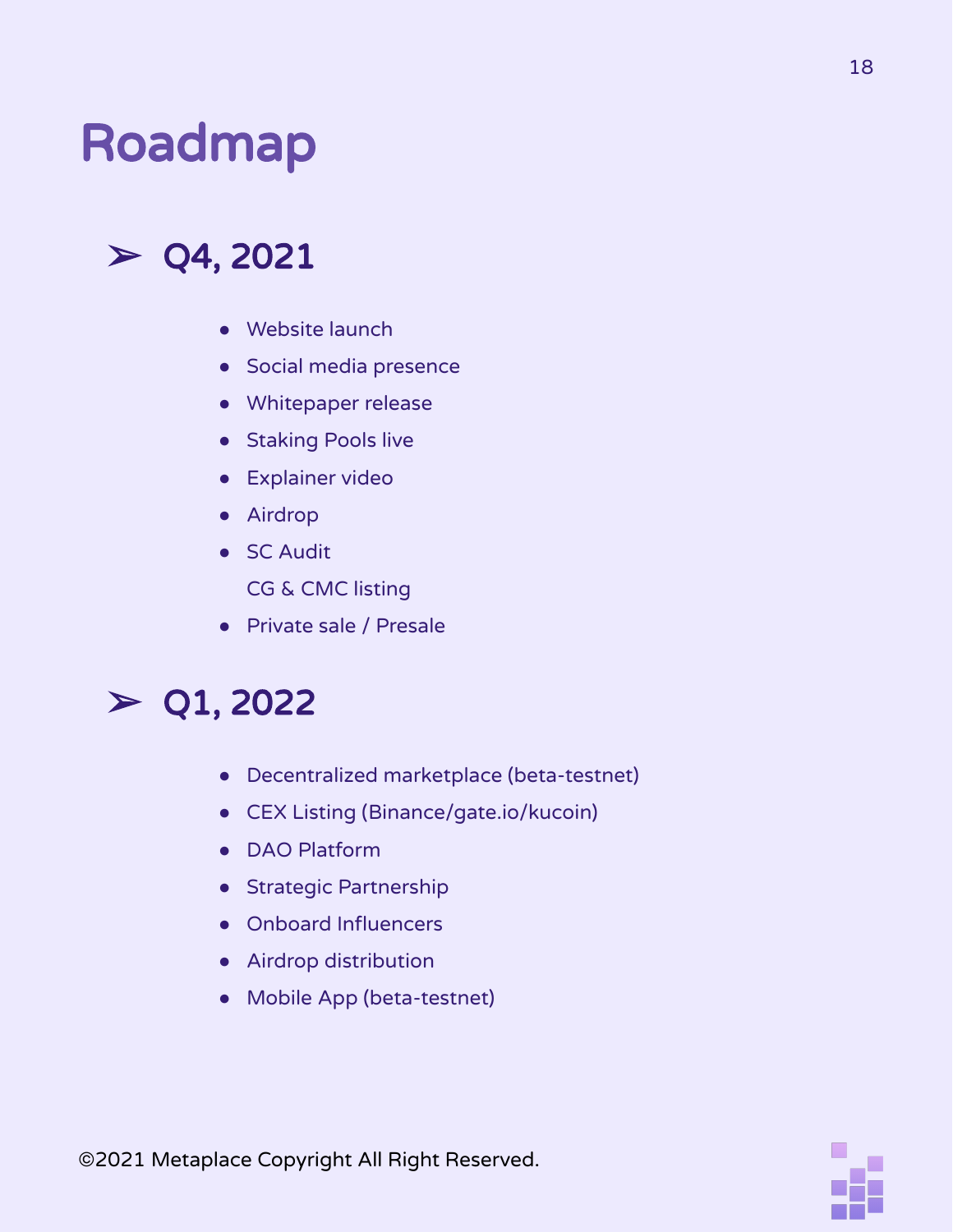## Roadmap

## $>$  Q4, 2021

- Website launch
- Social media presence
- Whitepaper release
- Staking Pools live
- Explainer video
- Airdrop
- SC Audit

CG & CMC listing

● Private sale / Presale

## $>$  Q1, 2022

- Decentralized marketplace (beta-testnet)
- CEX Listing (Binance/gate.io/kucoin)
- DAO Platform
- Strategic Partnership
- Onboard Influencers
- Airdrop distribution
- Mobile App (beta-testnet)

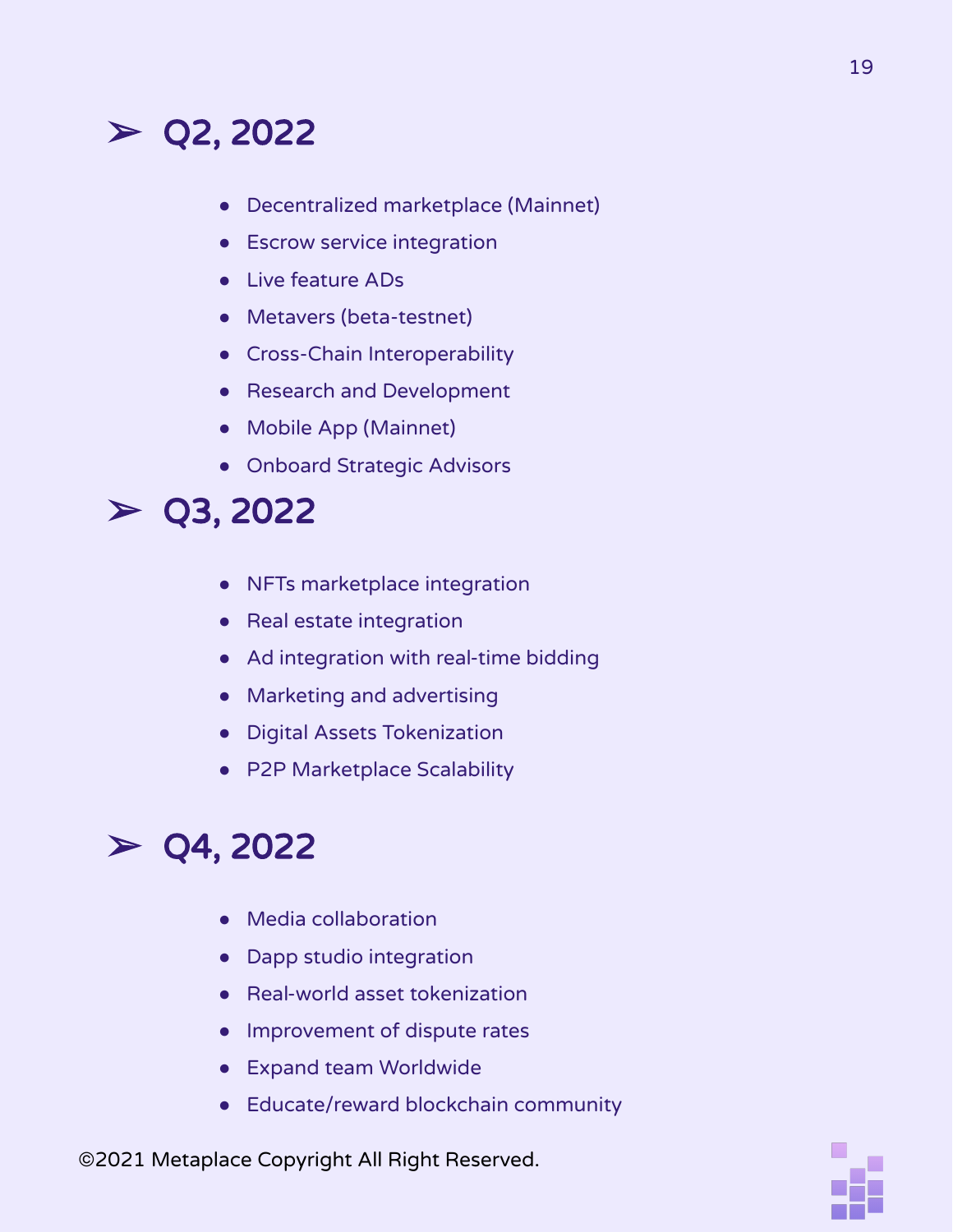## $>$  Q2, 2022

- Decentralized marketplace (Mainnet)
- **•** Escrow service integration
- Live feature ADs
- Metavers (beta-testnet)
- Cross-Chain Interoperability
- Research and Development
- Mobile App (Mainnet)
- Onboard Strategic Advisors

### $>$  Q3, 2022

- NFTs marketplace integration
- Real estate integration
- Ad integration with real-time bidding
- Marketing and advertising
- Digital Assets Tokenization
- P2P Marketplace Scalability

## $>$  Q4, 2022

- Media collaboration
- Dapp studio integration
- Real-world asset tokenization
- Improvement of dispute rates
- Expand team Worldwide
- Educate/reward blockchain community

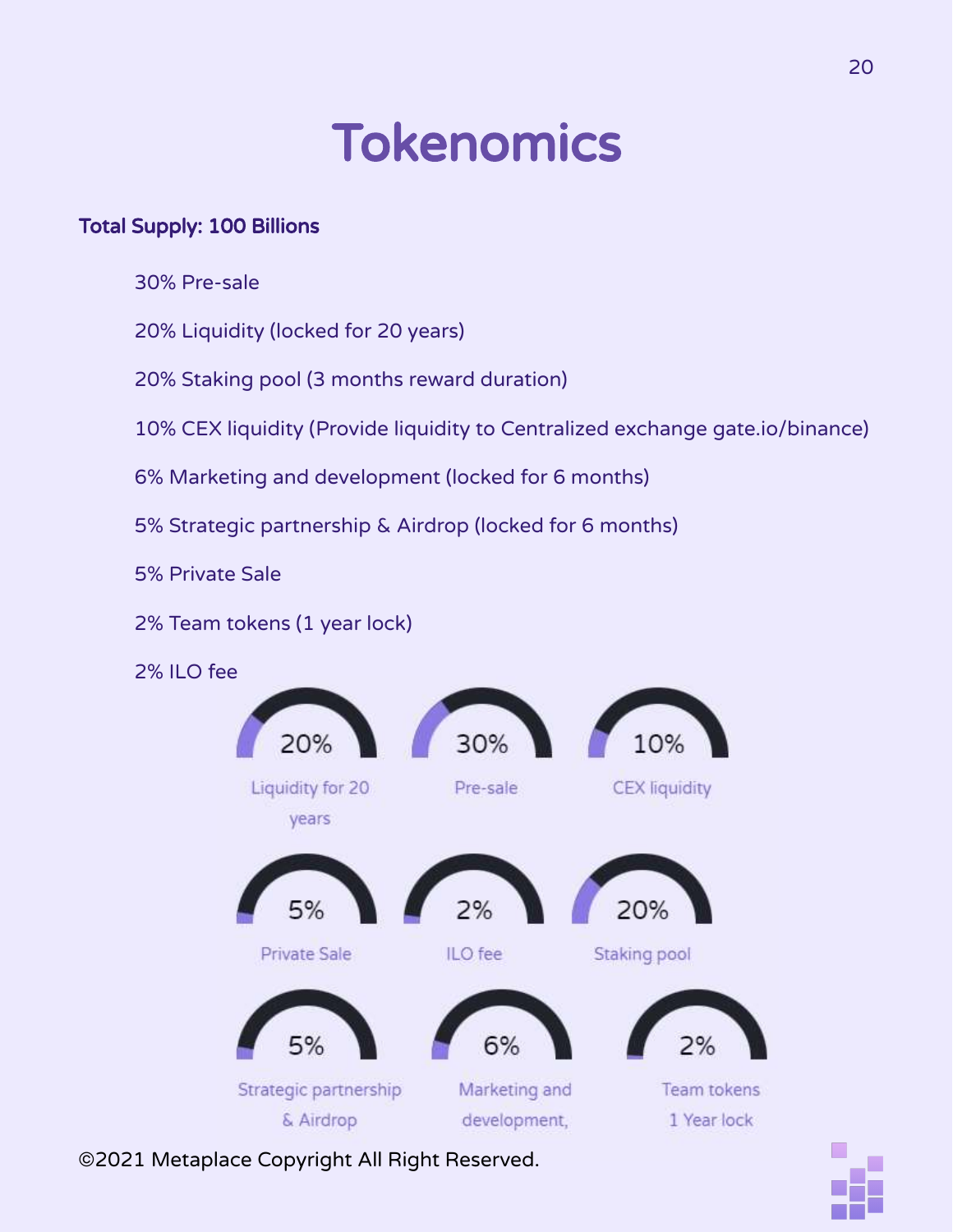## Tokenomics

#### Total Supply: 100 Billions

30% Pre-sale

20% Liquidity (locked for 20 years)

20% Staking pool (3 months reward duration)

10% CEX liquidity (Provide liquidity to Centralized exchange gate.io/binance)

6% Marketing and development (locked for 6 months)

5% Strategic partnership & Airdrop (locked for 6 months)

5% Private Sale

2% Team tokens (1 year lock)

2% ILO fee



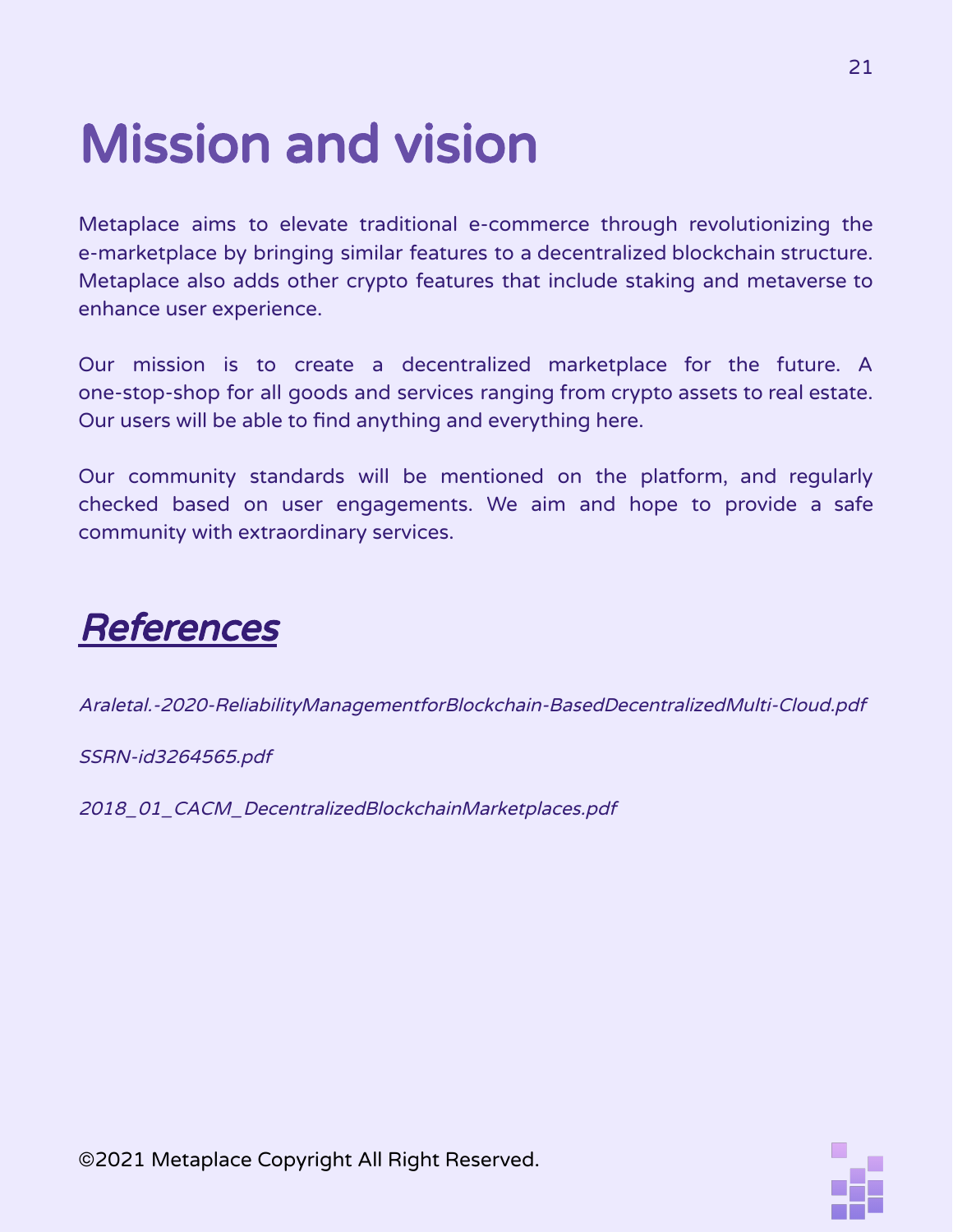# Mission and vision

Metaplace aims to elevate traditional e-commerce through revolutionizing the e-marketplace by bringing similar features to a decentralized blockchain structure. Metaplace also adds other crypto features that include staking and metaverse to enhance user experience.

Our mission is to create a decentralized marketplace for the future. A one-stop-shop for all goods and services ranging from crypto assets to real estate. Our users will be able to find anything and everything here.

Our community standards will be mentioned on the platform, and regularly checked based on user engagements. We aim and hope to provide a safe community with extraordinary services.

## **References**

Araletal.-2020-ReliabilityManagementforBlockchain-BasedDecentralizedMulti-Cloud.pdf

SSRN-id3264565.pdf

2018\_01\_CACM\_DecentralizedBlockchainMarketplaces.pdf